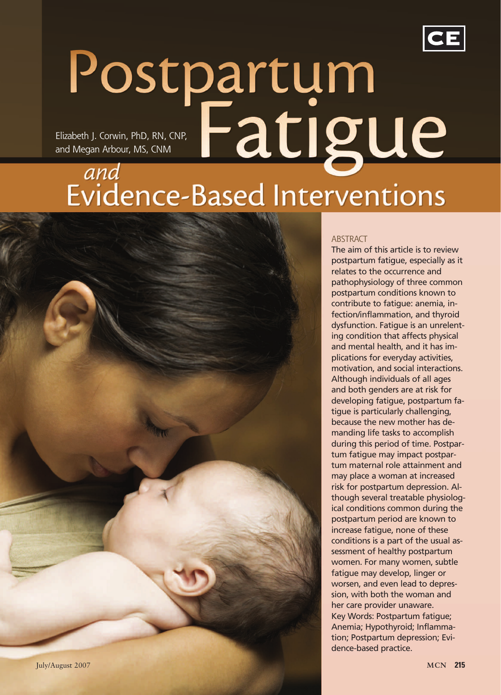

# Postpartum <u>Fatigue</u> Elizabeth J. Corwin, PhD, RN, CNP, and Megan Arbour, MS, CNMand Evidence-Based Interventions



The aim of this article is to review postpartum fatigue, especially as it relates to the occurrence and pathophysiology of three common postpartum conditions known to contribute to fatigue: anemia, infection/inflammation, and thyroid dysfunction. Fatigue is an unrelenting condition that affects physical and mental health, and it has implications for everyday activities, motivation, and social interactions. Although individuals of all ages and both genders are at risk for developing fatigue, postpartum fatigue is particularly challenging, because the new mother has demanding life tasks to accomplish during this period of time. Postpartum fatigue may impact postpartum maternal role attainment and may place a woman at increased risk for postpartum depression. Although several treatable physiological conditions common during the postpartum period are known to increase fatigue, none of these conditions is a part of the usual assessment of healthy postpartum women. For many women, subtle fatigue may develop, linger or worsen, and even lead to depression, with both the woman and her care provider unaware. Key Words: Postpartum fatigue; Anemia; Hypothyroid; Inflammation; Postpartum depression; Evidence-based practice.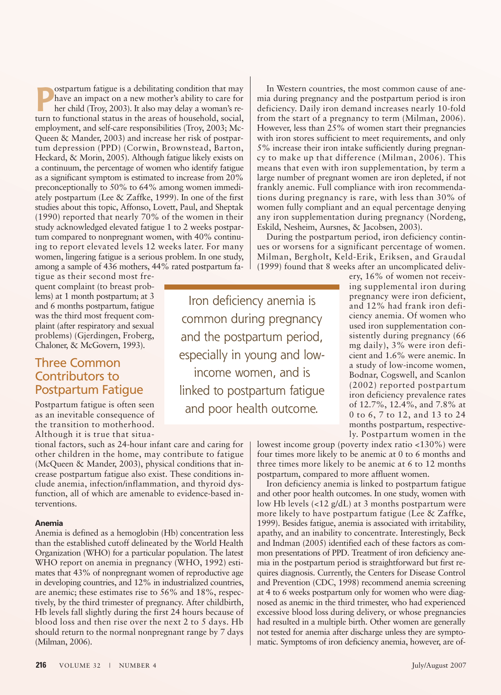**P e** ostpartum fatigue is a debilitating condition that may<br>
have an impact on a new mother's ability to care for<br>
her child (Troy, 2003). It also may delay a woman's re-<br>
turn to functional status in the areas of house ostpartum fatigue is a debilitating condition that may have an impact on a new mother's ability to care for her child (Troy, 2003). It also may delay a woman's reemployment, and self-care responsibilities (Troy, 2003; Mc-Queen & Mander, 2003) and increase her risk of postpartum depression (PPD) (Corwin, Brownstead, Barton, Heckard, & Morin, 2005). Although fatigue likely exists on a continuum, the percentage of women who identify fatigue as a significant symptom is estimated to increase from 20% preconceptionally to 50% to 64% among women immediately postpartum (Lee & Zaffke, 1999). In one of the first studies about this topic, Affonso, Lovett, Paul, and Sheptak (1990) reported that nearly 70% of the women in their study acknowledged elevated fatigue 1 to 2 weeks postpartum compared to nonpregnant women, with 40% continuing to report elevated levels 12 weeks later. For many women, lingering fatigue is a serious problem. In one study, among a sample of 436 mothers, 44% rated postpartum fa-

tigue as their second most frequent complaint (to breast problems) at 1 month postpartum; at 3 and 6 months postpartum, fatigue was the third most frequent complaint (after respiratory and sexual problems) (Gjerdingen, Froberg, Chaloner, & McGovern, 1993).

### Three Common Contributors to Postpartum Fatigue

Postpartum fatigue is often seen as an inevitable consequence of the transition to motherhood. Although it is true that situa-

tional factors, such as 24-hour infant care and caring for other children in the home, may contribute to fatigue (McQueen & Mander, 2003), physical conditions that increase postpartum fatigue also exist. These conditions include anemia, infection/inflammation, and thyroid dysfunction, all of which are amenable to evidence-based interventions.

#### **Anemia**

Anemia is defined as a hemoglobin (Hb) concentration less than the established cutoff delineated by the World Health Organization (WHO) for a particular population. The latest WHO report on anemia in pregnancy (WHO, 1992) estimates that 43% of nonpregnant women of reproductive age in developing countries, and 12% in industrialized countries, are anemic; these estimates rise to 56% and 18%, respectively, by the third trimester of pregnancy. After childbirth, Hb levels fall slightly during the first 24 hours because of blood loss and then rise over the next 2 to 5 days. Hb should return to the normal nonpregnant range by 7 days (Milman, 2006).

Iron deficiency anemia is common during pregnancy and the postpartum period, especially in young and lowincome women, and is linked to postpartum fatigue and poor health outcome.

In Western countries, the most common cause of anemia during pregnancy and the postpartum period is iron deficiency. Daily iron demand increases nearly 10-fold from the start of a pregnancy to term (Milman, 2006). However, less than 25% of women start their pregnancies with iron stores sufficient to meet requirements, and only 5% increase their iron intake sufficiently during pregnancy to make up that difference (Milman, 2006). This means that even with iron supplementation, by term a large number of pregnant women are iron depleted, if not frankly anemic. Full compliance with iron recommendations during pregnancy is rare, with less than 30% of women fully compliant and an equal percentage denying any iron supplementation during pregnancy (Nordeng, Eskild, Nesheim, Aursnes, & Jacobsen, 2003).

During the postpartum period, iron deficiency continues or worsens for a significant percentage of women. Milman, Bergholt, Keld-Erik, Eriksen, and Graudal (1999) found that 8 weeks after an uncomplicated deliv-

> ery, 16% of women not receiving supplemental iron during pregnancy were iron deficient, and 12% had frank iron deficiency anemia. Of women who used iron supplementation consistently during pregnancy (66 mg daily), 3% were iron deficient and 1.6% were anemic. In a study of low-income women, Bodnar, Cogswell, and Scanlon (2002) reported postpartum iron deficiency prevalence rates of 12.7%, 12.4%, and 7.8% at 0 to 6, 7 to 12, and 13 to 24 months postpartum, respectively. Postpartum women in the

lowest income group (poverty index ratio <130%) were four times more likely to be anemic at 0 to 6 months and three times more likely to be anemic at 6 to 12 months postpartum, compared to more affluent women.

Iron deficiency anemia is linked to postpartum fatigue and other poor health outcomes. In one study, women with low Hb levels (<12 g/dL) at 3 months postpartum were more likely to have postpartum fatigue (Lee & Zaffke, 1999). Besides fatigue, anemia is associated with irritability, apathy, and an inability to concentrate. Interestingly, Beck and Indman (2005) identified each of these factors as common presentations of PPD. Treatment of iron deficiency anemia in the postpartum period is straightforward but first requires diagnosis. Currently, the Centers for Disease Control and Prevention (CDC, 1998) recommend anemia screening at 4 to 6 weeks postpartum only for women who were diagnosed as anemic in the third trimester, who had experienced excessive blood loss during delivery, or whose pregnancies had resulted in a multiple birth. Other women are generally not tested for anemia after discharge unless they are symptomatic. Symptoms of iron deficiency anemia, however, are of-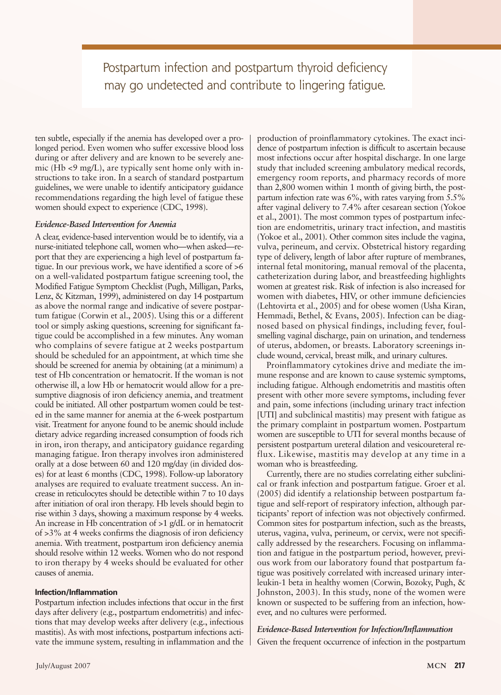# Postpartum infection and postpartum thyroid deficiency may go undetected and contribute to lingering fatigue.

ten subtle, especially if the anemia has developed over a prolonged period. Even women who suffer excessive blood loss during or after delivery and are known to be severely anemic (Hb <9 mg/L), are typically sent home only with instructions to take iron. In a search of standard postpartum guidelines, we were unable to identify anticipatory guidance recommendations regarding the high level of fatigue these women should expect to experience (CDC, 1998).

#### *Evidence-Based Intervention for Anemia*

A clear, evidence-based intervention would be to identify, via a nurse-initiated telephone call, women who—when asked—report that they are experiencing a high level of postpartum fatigue. In our previous work, we have identified a score of >6 on a well-validated postpartum fatigue screening tool, the Modified Fatigue Symptom Checklist (Pugh, Milligan, Parks, Lenz, & Kitzman, 1999), administered on day 14 postpartum as above the normal range and indicative of severe postpartum fatigue (Corwin et al., 2005). Using this or a different tool or simply asking questions, screening for significant fatigue could be accomplished in a few minutes. Any woman who complains of severe fatigue at 2 weeks postpartum should be scheduled for an appointment, at which time she should be screened for anemia by obtaining (at a minimum) a test of Hb concentration or hematocrit. If the woman is not otherwise ill, a low Hb or hematocrit would allow for a presumptive diagnosis of iron deficiency anemia, and treatment could be initiated. All other postpartum women could be tested in the same manner for anemia at the 6-week postpartum visit. Treatment for anyone found to be anemic should include dietary advice regarding increased consumption of foods rich in iron, iron therapy, and anticipatory guidance regarding managing fatigue. Iron therapy involves iron administered orally at a dose between 60 and 120 mg/day (in divided doses) for at least 6 months (CDC, 1998). Follow-up laboratory analyses are required to evaluate treatment success. An increase in reticulocytes should be detectible within 7 to 10 days after initiation of oral iron therapy. Hb levels should begin to rise within 3 days, showing a maximum response by 4 weeks. An increase in Hb concentration of  $>1$  g/dL or in hematocrit of >3% at 4 weeks confirms the diagnosis of iron deficiency anemia. With treatment, postpartum iron deficiency anemia should resolve within 12 weeks. Women who do not respond to iron therapy by 4 weeks should be evaluated for other causes of anemia.

#### **Infection/Inflammation**

Postpartum infection includes infections that occur in the first days after delivery (e.g., postpartum endometritis) and infections that may develop weeks after delivery (e.g., infectious mastitis). As with most infections, postpartum infections activate the immune system, resulting in inflammation and the production of proinflammatory cytokines. The exact incidence of postpartum infection is difficult to ascertain because most infections occur after hospital discharge. In one large study that included screening ambulatory medical records, emergency room reports, and pharmacy records of more than 2,800 women within 1 month of giving birth, the postpartum infection rate was 6%, with rates varying from 5.5% after vaginal delivery to 7.4% after cesarean section (Yokoe et al., 2001). The most common types of postpartum infection are endometritis, urinary tract infection, and mastitis (Yokoe et al., 2001). Other common sites include the vagina, vulva, perineum, and cervix. Obstetrical history regarding type of delivery, length of labor after rupture of membranes, internal fetal monitoring, manual removal of the placenta, catheterization during labor, and breastfeeding highlights women at greatest risk. Risk of infection is also increased for women with diabetes, HIV, or other immune deficiencies (Lehtovirta et al., 2005) and for obese women (Usha Kiran, Hemmadi, Bethel, & Evans, 2005). Infection can be diagnosed based on physical findings, including fever, foulsmelling vaginal discharge, pain on urination, and tenderness of uterus, abdomen, or breasts. Laboratory screenings include wound, cervical, breast milk, and urinary cultures.

Proinflammatory cytokines drive and mediate the immune response and are known to cause systemic symptoms, including fatigue. Although endometritis and mastitis often present with other more severe symptoms, including fever and pain, some infections (including urinary tract infection [UTI] and subclinical mastitis) may present with fatigue as the primary complaint in postpartum women. Postpartum women are susceptible to UTI for several months because of persistent postpartum ureteral dilation and vesicoureteral reflux. Likewise, mastitis may develop at any time in a woman who is breastfeeding.

Currently, there are no studies correlating either subclinical or frank infection and postpartum fatigue. Groer et al. (2005) did identify a relationship between postpartum fatigue and self-report of respiratory infection, although participants' report of infection was not objectively confirmed. Common sites for postpartum infection, such as the breasts, uterus, vagina, vulva, perineum, or cervix, were not specifically addressed by the researchers. Focusing on inflammation and fatigue in the postpartum period, however, previous work from our laboratory found that postpartum fatigue was positively correlated with increased urinary interleukin-1 beta in healthy women (Corwin, Bozoky, Pugh, & Johnston, 2003). In this study, none of the women were known or suspected to be suffering from an infection, however, and no cultures were performed.

#### *Evidence-Based Intervention for Infection/Inflammation* Given the frequent occurrence of infection in the postpartum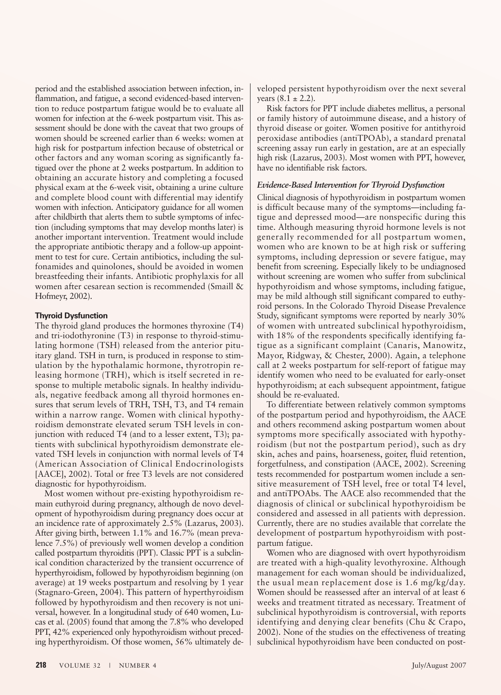period and the established association between infection, inflammation, and fatigue, a second evidenced-based intervention to reduce postpartum fatigue would be to evaluate all women for infection at the 6-week postpartum visit. This assessment should be done with the caveat that two groups of women should be screened earlier than 6 weeks: women at high risk for postpartum infection because of obstetrical or other factors and any woman scoring as significantly fatigued over the phone at 2 weeks postpartum. In addition to obtaining an accurate history and completing a focused physical exam at the 6-week visit, obtaining a urine culture and complete blood count with differential may identify women with infection. Anticipatory guidance for all women after childbirth that alerts them to subtle symptoms of infection (including symptoms that may develop months later) is another important intervention. Treatment would include the appropriate antibiotic therapy and a follow-up appointment to test for cure. Certain antibiotics, including the sulfonamides and quinolones, should be avoided in women breastfeeding their infants. Antibiotic prophylaxis for all women after cesarean section is recommended (Smaill & Hofmeyr, 2002).

#### **Thyroid Dysfunction**

The thyroid gland produces the hormones thyroxine (T4) and tri-iodothyronine (T3) in response to thyroid-stimulating hormone (TSH) released from the anterior pituitary gland. TSH in turn, is produced in response to stimulation by the hypothalamic hormone, thyrotropin releasing hormone (TRH), which is itself secreted in response to multiple metabolic signals. In healthy individuals, negative feedback among all thyroid hormones ensures that serum levels of TRH, TSH, T3, and T4 remain within a narrow range. Women with clinical hypothyroidism demonstrate elevated serum TSH levels in conjunction with reduced T4 (and to a lesser extent, T3); patients with subclinical hypothyroidism demonstrate elevated TSH levels in conjunction with normal levels of T4 (American Association of Clinical Endocrinologists [AACE], 2002). Total or free T3 levels are not considered diagnostic for hypothyroidism.

Most women without pre-existing hypothyroidism remain euthyroid during pregnancy, although de novo development of hypothyroidism during pregnancy does occur at an incidence rate of approximately 2.5% (Lazarus, 2003). After giving birth, between 1.1% and 16.7% (mean prevalence 7.5%) of previously well women develop a condition called postpartum thyroiditis (PPT). Classic PPT is a subclinical condition characterized by the transient occurrence of hyperthyroidism, followed by hypothyroidism beginning (on average) at 19 weeks postpartum and resolving by 1 year (Stagnaro-Green, 2004). This pattern of hyperthyroidism followed by hypothyroidism and then recovery is not universal, however. In a longitudinal study of 640 women, Lucas et al. (2005) found that among the 7.8% who developed PPT, 42% experienced only hypothyroidism without preceding hyperthyroidism. Of those women, 56% ultimately de-

veloped persistent hypothyroidism over the next several years  $(8.1 \pm 2.2)$ .

Risk factors for PPT include diabetes mellitus, a personal or family history of autoimmune disease, and a history of thyroid disease or goiter. Women positive for antithyroid peroxidase antibodies (antiTPOAb), a standard prenatal screening assay run early in gestation, are at an especially high risk (Lazarus, 2003). Most women with PPT, however, have no identifiable risk factors.

#### *Evidence-Based Intervention for Thyroid Dysfunction*

Clinical diagnosis of hypothyroidism in postpartum women is difficult because many of the symptoms—including fatigue and depressed mood—are nonspecific during this time. Although measuring thyroid hormone levels is not generally recommended for all postpartum women, women who are known to be at high risk or suffering symptoms, including depression or severe fatigue, may benefit from screening. Especially likely to be undiagnosed without screening are women who suffer from subclinical hypothyroidism and whose symptoms, including fatigue, may be mild although still significant compared to euthyroid persons. In the Colorado Thyroid Disease Prevalence Study, significant symptoms were reported by nearly 30% of women with untreated subclinical hypothyroidism, with 18% of the respondents specifically identifying fatigue as a significant complaint (Canaris, Manowitz, Mayor, Ridgway, & Chester, 2000). Again, a telephone call at 2 weeks postpartum for self-report of fatigue may identify women who need to be evaluated for early-onset hypothyroidism; at each subsequent appointment, fatigue should be re-evaluated.

To differentiate between relatively common symptoms of the postpartum period and hypothyroidism, the AACE and others recommend asking postpartum women about symptoms more specifically associated with hypothyroidism (but not the postpartum period), such as dry skin, aches and pains, hoarseness, goiter, fluid retention, forgetfulness, and constipation (AACE, 2002). Screening tests recommended for postpartum women include a sensitive measurement of TSH level, free or total T4 level, and antiTPOAbs. The AACE also recommended that the diagnosis of clinical or subclinical hypothyroidism be considered and assessed in all patients with depression. Currently, there are no studies available that correlate the development of postpartum hypothyroidism with postpartum fatigue.

Women who are diagnosed with overt hypothyroidism are treated with a high-quality levothyroxine. Although management for each woman should be individualized, the usual mean replacement dose is 1.6 mg/kg/day. Women should be reassessed after an interval of at least 6 weeks and treatment titrated as necessary. Treatment of subclinical hypothyroidism is controversial, with reports identifying and denying clear benefits (Chu & Crapo, 2002). None of the studies on the effectiveness of treating subclinical hypothyroidism have been conducted on post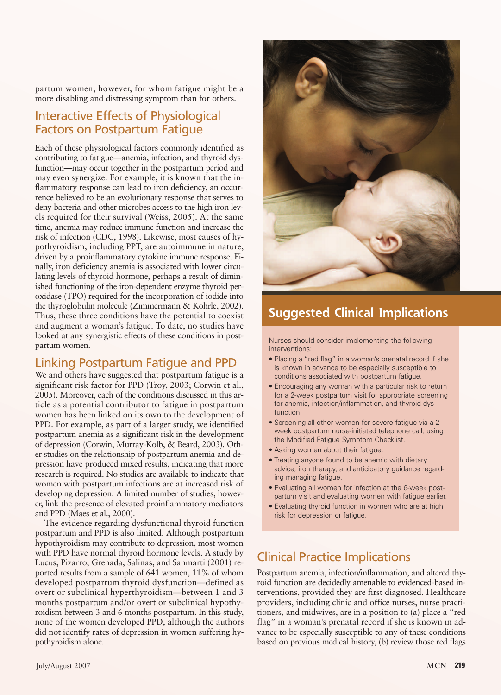partum women, however, for whom fatigue might be a more disabling and distressing symptom than for others.

### Interactive Effects of Physiological Factors on Postpartum Fatigue

Each of these physiological factors commonly identified as contributing to fatigue—anemia, infection, and thyroid dysfunction—may occur together in the postpartum period and may even synergize. For example, it is known that the inflammatory response can lead to iron deficiency, an occurrence believed to be an evolutionary response that serves to deny bacteria and other microbes access to the high iron levels required for their survival (Weiss, 2005). At the same time, anemia may reduce immune function and increase the risk of infection (CDC, 1998). Likewise, most causes of hypothyroidism, including PPT, are autoimmune in nature, driven by a proinflammatory cytokine immune response. Finally, iron deficiency anemia is associated with lower circulating levels of thyroid hormone, perhaps a result of diminished functioning of the iron-dependent enzyme thyroid peroxidase (TPO) required for the incorporation of iodide into the thyroglobulin molecule (Zimmermann & Kohrle, 2002). Thus, these three conditions have the potential to coexist and augment a woman's fatigue. To date, no studies have looked at any synergistic effects of these conditions in postpartum women.

### Linking Postpartum Fatigue and PPD

We and others have suggested that postpartum fatigue is a significant risk factor for PPD (Troy, 2003; Corwin et al., 2005). Moreover, each of the conditions discussed in this article as a potential contributor to fatigue in postpartum women has been linked on its own to the development of PPD. For example, as part of a larger study, we identified postpartum anemia as a significant risk in the development of depression (Corwin, Murray-Kolb, & Beard, 2003). Other studies on the relationship of postpartum anemia and depression have produced mixed results, indicating that more research is required. No studies are available to indicate that women with postpartum infections are at increased risk of developing depression. A limited number of studies, however, link the presence of elevated proinflammatory mediators and PPD (Maes et al., 2000).

The evidence regarding dysfunctional thyroid function postpartum and PPD is also limited. Although postpartum hypothyroidism may contribute to depression, most women with PPD have normal thyroid hormone levels. A study by Lucus, Pizarro, Grenada, Salinas, and Sanmarti (2001) reported results from a sample of 641 women, 11% of whom developed postpartum thyroid dysfunction—defined as overt or subclinical hyperthyroidism—between 1 and 3 months postpartum and/or overt or subclinical hypothyroidism between 3 and 6 months postpartum. In this study, none of the women developed PPD, although the authors did not identify rates of depression in women suffering hypothyroidism alone.



# **Suggested Clinical Implications**

Nurses should consider implementing the following interventions:

- Placing a "red flag" in a woman's prenatal record if she is known in advance to be especially susceptible to conditions associated with postpartum fatigue.
- Encouraging any woman with a particular risk to return for a 2-week postpartum visit for appropriate screening for anemia, infection/inflammation, and thyroid dysfunction.
- Screening all other women for severe fatigue via a 2 week postpartum nurse-initiated telephone call, using the Modified Fatigue Symptom Checklist.
- Asking women about their fatigue.
- Treating anyone found to be anemic with dietary advice, iron therapy, and anticipatory guidance regarding managing fatigue.
- Evaluating all women for infection at the 6-week postpartum visit and evaluating women with fatigue earlier.
- Evaluating thyroid function in women who are at high risk for depression or fatigue.

# Clinical Practice Implications

Postpartum anemia, infection/inflammation, and altered thyroid function are decidedly amenable to evidenced-based interventions, provided they are first diagnosed. Healthcare providers, including clinic and office nurses, nurse practitioners, and midwives, are in a position to (a) place a "red flag" in a woman's prenatal record if she is known in advance to be especially susceptible to any of these conditions based on previous medical history, (b) review those red flags